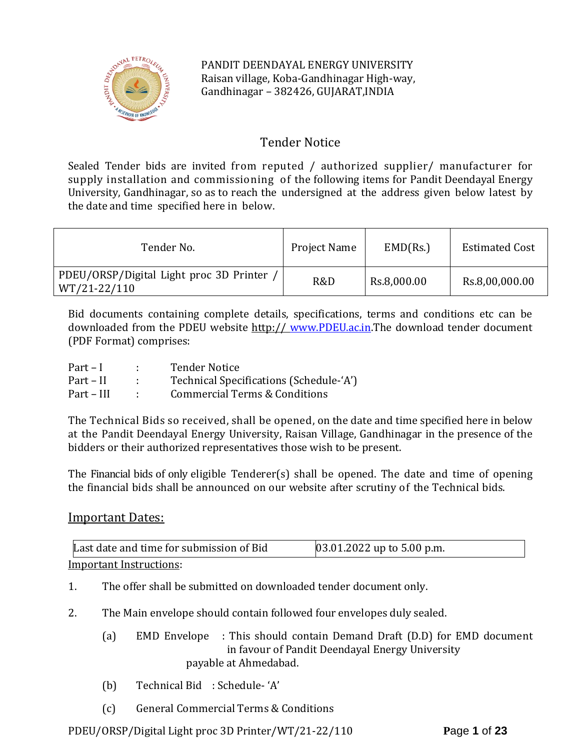

PANDIT DEENDAYAL ENERGY UNIVERSITY Raisan village, Koba-Gandhinagar High-way, Gandhinagar – 382426, GUJARAT,INDIA

# Tender Notice

Sealed Tender bids are invited from reputed / authorized supplier/ manufacturer for supply installation and commissioning of the following items for Pandit Deendayal Energy University, Gandhinagar, so as to reach the undersigned at the address given below latest by the date and time specified here in below.

| Tender No.                                              | <b>Project Name</b> | EMD(Rs.)    | <b>Estimated Cost</b> |
|---------------------------------------------------------|---------------------|-------------|-----------------------|
| PDEU/ORSP/Digital Light proc 3D Printer<br>WT/21-22/110 | R&D                 | Rs.8,000.00 | Rs.8,00,000.00        |

Bid documents containing complete details, specifications, terms and conditions etc can be downloaded from the PDEU website http:// [www.PDEU.ac.in.](http://www.pdpu.ac.in/)The download tender document (PDF Format) comprises:

| $Part-I$   | <b>Tender Notice</b>                    |
|------------|-----------------------------------------|
| Part – II  | Technical Specifications (Schedule-'A') |
| Part – III | Commercial Terms & Conditions           |

The Technical Bids so received, shall be opened, on the date and time specified here in below at the Pandit Deendayal Energy University, Raisan Village, Gandhinagar in the presence of the bidders or their authorized representatives those wish to be present.

The Financial bids of only eligible Tenderer(s) shall be opened. The date and time of opening the financial bids shall be announced on our website after scrutiny of the Technical bids.

# Important Dates:

| Last date and time for submission of Bid | $[03.01.2022$ up to 5.00 p.m. |
|------------------------------------------|-------------------------------|
| Important Instructions:                  |                               |

Important Instructions:

- 1. The offer shall be submitted on downloaded tender document only.
- 2. The Main envelope should contain followed four envelopes duly sealed.
	- (a) EMD Envelope : This should contain Demand Draft (D.D) for EMD document in favour of Pandit Deendayal Energy University payable at Ahmedabad.
	- (b) Technical Bid : Schedule- 'A'
	- (c) General Commercial Terms & Conditions

PDEU/ORSP/Digital Light proc 3D Printer/WT/21-22/110 **P**age **1** of **23**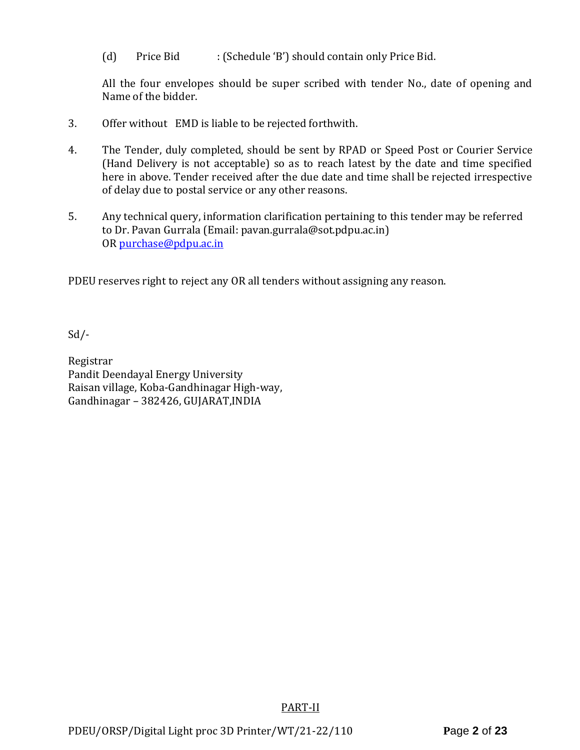(d) Price Bid : (Schedule 'B') should contain only Price Bid.

All the four envelopes should be super scribed with tender No., date of opening and Name of the bidder.

- 3. Offer without EMD is liable to be rejected forthwith.
- 4. The Tender, duly completed, should be sent by RPAD or Speed Post or Courier Service (Hand Delivery is not acceptable) so as to reach latest by the date and time specified here in above. Tender received after the due date and time shall be rejected irrespective of delay due to postal service or any other reasons.
- 5. Any technical query, information clarification pertaining to this tender may be referred to Dr. Pavan Gurrala (Email: pavan.gurrala@sot.pdpu.ac.in) OR [purchase@pdpu.ac.in](mailto:purchase@pdpu.ac.in)

PDEU reserves right to reject any OR all tenders without assigning any reason.

Sd/-

Registrar Pandit Deendayal Energy University Raisan village, Koba-Gandhinagar High-way, Gandhinagar – 382426, GUJARAT,INDIA

PART-II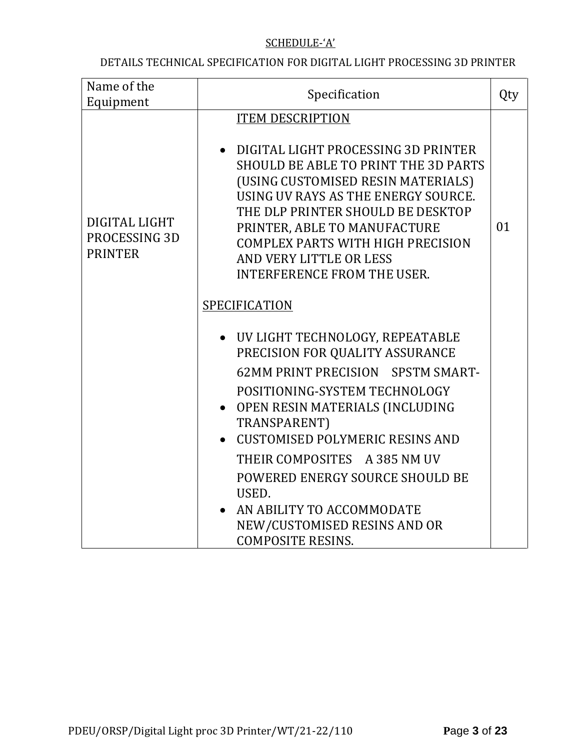# SCHEDULE-'A'

# DETAILS TECHNICAL SPECIFICATION FOR DIGITAL LIGHT PROCESSING 3D PRINTER

| Name of the<br>Equipment                         | Specification                                                                                                                                                                                                                                                                                                                                                                                             |    |
|--------------------------------------------------|-----------------------------------------------------------------------------------------------------------------------------------------------------------------------------------------------------------------------------------------------------------------------------------------------------------------------------------------------------------------------------------------------------------|----|
|                                                  |                                                                                                                                                                                                                                                                                                                                                                                                           |    |
| DIGITAL LIGHT<br>PROCESSING 3D<br><b>PRINTER</b> | <b>ITEM DESCRIPTION</b><br>DIGITAL LIGHT PROCESSING 3D PRINTER<br>SHOULD BE ABLE TO PRINT THE 3D PARTS<br>(USING CUSTOMISED RESIN MATERIALS)<br>USING UV RAYS AS THE ENERGY SOURCE.<br>THE DLP PRINTER SHOULD BE DESKTOP<br>PRINTER, ABLE TO MANUFACTURE<br><b>COMPLEX PARTS WITH HIGH PRECISION</b><br>AND VERY LITTLE OR LESS<br><b>INTERFERENCE FROM THE USER.</b>                                     | 01 |
|                                                  | SPECIFICATION                                                                                                                                                                                                                                                                                                                                                                                             |    |
|                                                  | • UV LIGHT TECHNOLOGY, REPEATABLE<br>PRECISION FOR QUALITY ASSURANCE<br>62MM PRINT PRECISION SPSTM SMART-<br>POSITIONING-SYSTEM TECHNOLOGY<br>• OPEN RESIN MATERIALS (INCLUDING<br>TRANSPARENT)<br>• CUSTOMISED POLYMERIC RESINS AND<br>THEIR COMPOSITES A 385 NM UV<br>POWERED ENERGY SOURCE SHOULD BE<br>USED.<br>AN ABILITY TO ACCOMMODATE<br>NEW/CUSTOMISED RESINS AND OR<br><b>COMPOSITE RESINS.</b> |    |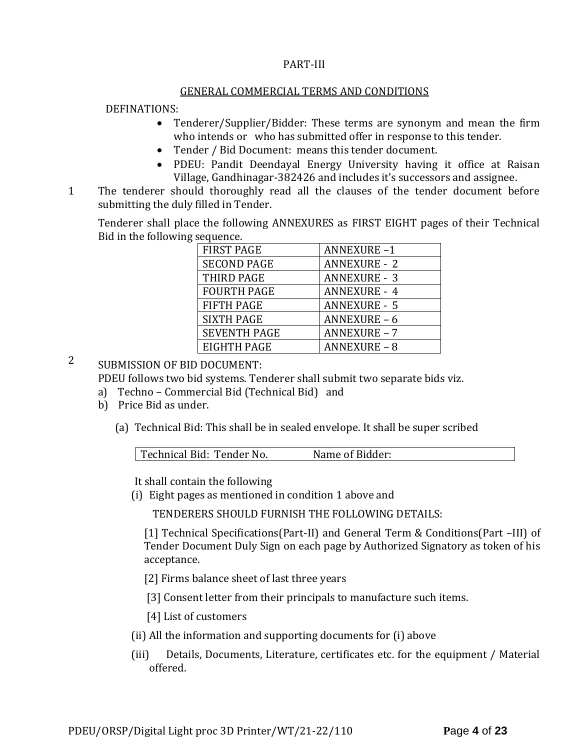#### PART-III

#### GENERAL COMMERCIAL TERMS AND CONDITIONS

# DEFINATIONS:

- Tenderer/Supplier/Bidder: These terms are synonym and mean the firm who intends or who has submitted offer in response to this tender.
- Tender / Bid Document: means this tender document.
- PDEU: Pandit Deendayal Energy University having it office at Raisan Village, Gandhinagar-382426 and includes it's successors and assignee.
- 1 The tenderer should thoroughly read all the clauses of the tender document before submitting the duly filled in Tender.

Tenderer shall place the following ANNEXURES as FIRST EIGHT pages of their Technical Bid in the following sequence.

| <b>FIRST PAGE</b>   | <b>ANNEXURE-1</b>   |
|---------------------|---------------------|
| <b>SECOND PAGE</b>  | <b>ANNEXURE - 2</b> |
| THIRD PAGE          | <b>ANNEXURE - 3</b> |
| <b>FOURTH PAGE</b>  | <b>ANNEXURE - 4</b> |
| <b>FIFTH PAGE</b>   | <b>ANNEXURE - 5</b> |
| <b>SIXTH PAGE</b>   | <b>ANNEXURE - 6</b> |
| <b>SEVENTH PAGE</b> | <b>ANNEXURE - 7</b> |
| EIGHTH PAGE         | <b>ANNEXURE - 8</b> |

2 SUBMISSION OF BID DOCUMENT:

PDEU follows two bid systems. Tenderer shall submit two separate bids viz.

- a) Techno Commercial Bid (Technical Bid) and
- b) Price Bid as under.
	- (a) Technical Bid: This shall be in sealed envelope. It shall be super scribed

| Technical Bid: Tender No. | Name of Bidder: |  |
|---------------------------|-----------------|--|
|                           |                 |  |

It shall contain the following

(i) Eight pages as mentioned in condition 1 above and

TENDERERS SHOULD FURNISH THE FOLLOWING DETAILS:

[1] Technical Specifications(Part-II) and General Term & Conditions(Part –III) of Tender Document Duly Sign on each page by Authorized Signatory as token of his acceptance.

[2] Firms balance sheet of last three years

[3] Consent letter from their principals to manufacture such items.

[4] List of customers

- (ii) All the information and supporting documents for (i) above
- (iii) Details, Documents, Literature, certificates etc. for the equipment / Material offered.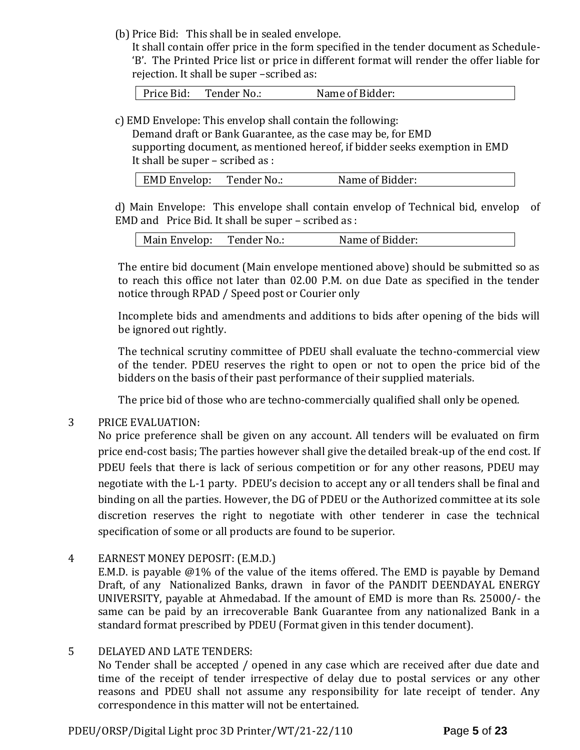(b) Price Bid: This shall be in sealed envelope.

It shall contain offer price in the form specified in the tender document as Schedule- 'B'. The Printed Price list or price in different format will render the offer liable for rejection. It shall be super –scribed as:

Price Bid: Tender No.: Name of Bidder:

c) EMD Envelope: This envelop shall contain the following:

Demand draft or Bank Guarantee, as the case may be, for EMD supporting document, as mentioned hereof, if bidder seeks exemption in EMD It shall be super – scribed as :

| <b>EMD Envelop:</b> | Tender No.: | Name of Bidder: |  |
|---------------------|-------------|-----------------|--|
|                     |             |                 |  |

d) Main Envelope: This envelope shall contain envelop of Technical bid, envelop of EMD and Price Bid. It shall be super – scribed as :

| Main Envelop: | Tender No.: | Name of Bidder: |
|---------------|-------------|-----------------|
|---------------|-------------|-----------------|

The entire bid document (Main envelope mentioned above) should be submitted so as to reach this office not later than 02.00 P.M. on due Date as specified in the tender notice through RPAD / Speed post or Courier only

Incomplete bids and amendments and additions to bids after opening of the bids will be ignored out rightly.

The technical scrutiny committee of PDEU shall evaluate the techno-commercial view of the tender. PDEU reserves the right to open or not to open the price bid of the bidders on the basis of their past performance of their supplied materials.

The price bid of those who are techno-commercially qualified shall only be opened.

# 3 PRICE EVALUATION:

No price preference shall be given on any account. All tenders will be evaluated on firm price end-cost basis; The parties however shall give the detailed break-up of the end cost. If PDEU feels that there is lack of serious competition or for any other reasons, PDEU may negotiate with the L-1 party. PDEU's decision to accept any or all tenders shall be final and binding on all the parties. However, the DG of PDEU or the Authorized committee at its sole discretion reserves the right to negotiate with other tenderer in case the technical specification of some or all products are found to be superior.

4 EARNEST MONEY DEPOSIT: (E.M.D.)

E.M.D. is payable @1% of the value of the items offered. The EMD is payable by Demand Draft, of any Nationalized Banks, drawn in favor of the PANDIT DEENDAYAL ENERGY UNIVERSITY, payable at Ahmedabad. If the amount of EMD is more than Rs. 25000/- the same can be paid by an irrecoverable Bank Guarantee from any nationalized Bank in a standard format prescribed by PDEU (Format given in this tender document).

# 5 DELAYED AND LATE TENDERS:

No Tender shall be accepted / opened in any case which are received after due date and time of the receipt of tender irrespective of delay due to postal services or any other reasons and PDEU shall not assume any responsibility for late receipt of tender. Any correspondence in this matter will not be entertained.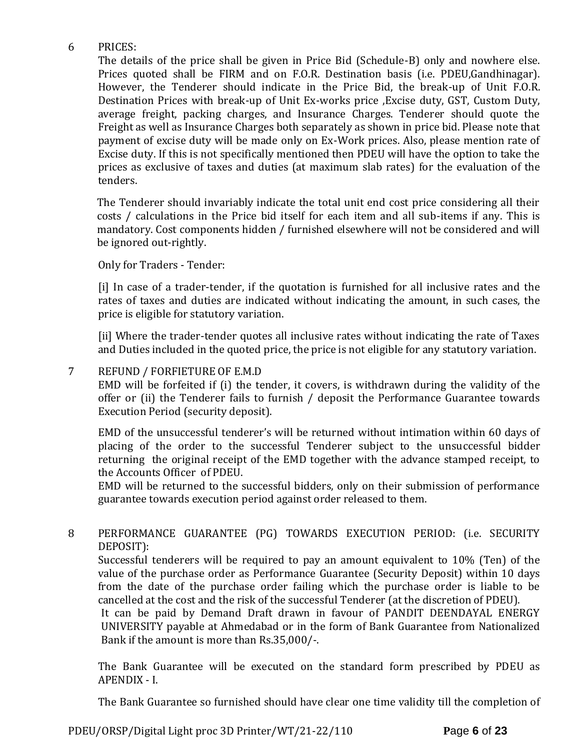# 6 PRICES:

The details of the price shall be given in Price Bid (Schedule-B) only and nowhere else. Prices quoted shall be FIRM and on F.O.R. Destination basis (i.e. PDEU,Gandhinagar). However, the Tenderer should indicate in the Price Bid, the break-up of Unit F.O.R. Destination Prices with break-up of Unit Ex-works price ,Excise duty, GST, Custom Duty, average freight, packing charges, and Insurance Charges. Tenderer should quote the Freight as well as Insurance Charges both separately as shown in price bid. Please note that payment of excise duty will be made only on Ex-Work prices. Also, please mention rate of Excise duty. If this is not specifically mentioned then PDEU will have the option to take the prices as exclusive of taxes and duties (at maximum slab rates) for the evaluation of the tenders.

The Tenderer should invariably indicate the total unit end cost price considering all their costs / calculations in the Price bid itself for each item and all sub-items if any. This is mandatory. Cost components hidden / furnished elsewhere will not be considered and will be ignored out-rightly.

Only for Traders - Tender:

[i] In case of a trader-tender, if the quotation is furnished for all inclusive rates and the rates of taxes and duties are indicated without indicating the amount, in such cases, the price is eligible for statutory variation.

[ii] Where the trader-tender quotes all inclusive rates without indicating the rate of Taxes and Duties included in the quoted price, the price is not eligible for any statutory variation.

# 7 REFUND / FORFIETURE OF E.M.D

EMD will be forfeited if (i) the tender, it covers, is withdrawn during the validity of the offer or (ii) the Tenderer fails to furnish / deposit the Performance Guarantee towards Execution Period (security deposit).

EMD of the unsuccessful tenderer's will be returned without intimation within 60 days of placing of the order to the successful Tenderer subject to the unsuccessful bidder returning the original receipt of the EMD together with the advance stamped receipt, to the Accounts Officer of PDEU.

EMD will be returned to the successful bidders, only on their submission of performance guarantee towards execution period against order released to them.

# 8 PERFORMANCE GUARANTEE (PG) TOWARDS EXECUTION PERIOD: (i.e. SECURITY DEPOSIT):

Successful tenderers will be required to pay an amount equivalent to 10% (Ten) of the value of the purchase order as Performance Guarantee (Security Deposit) within 10 days from the date of the purchase order failing which the purchase order is liable to be cancelled at the cost and the risk of the successful Tenderer (at the discretion of PDEU).

It can be paid by Demand Draft drawn in favour of PANDIT DEENDAYAL ENERGY UNIVERSITY payable at Ahmedabad or in the form of Bank Guarantee from Nationalized Bank if the amount is more than Rs.35,000/-.

The Bank Guarantee will be executed on the standard form prescribed by PDEU as APENDIX - I.

The Bank Guarantee so furnished should have clear one time validity till the completion of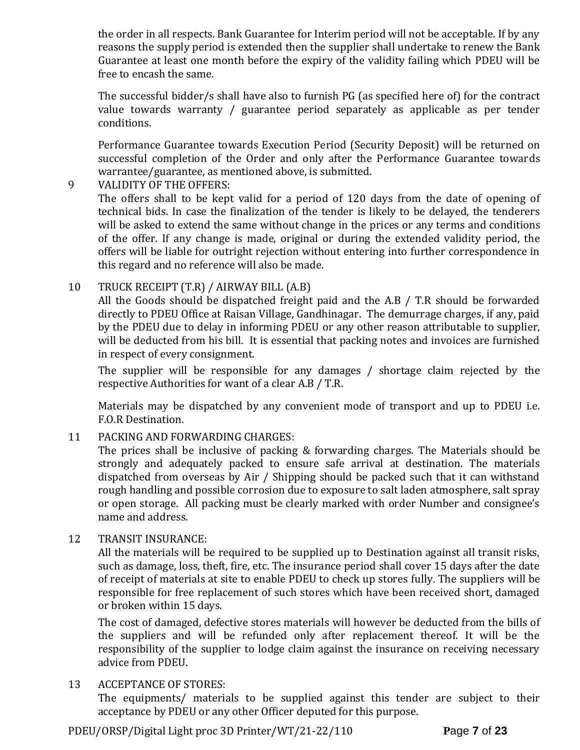the order in all respects. Bank Guarantee for Interim period will not be acceptable. If by any reasons the supply period is extended then the supplier shall undertake to renew the Bank Guarantee at least one month before the expiry of the validity failing which PDEU will be free to encash the same.

The successful bidder/s shall have also to furnish PG (as specified here of) for the contract value towards warranty / guarantee period separately as applicable as per tender conditions.

Performance Guarantee towards Execution Period (Security Deposit) will be returned on successful completion of the Order and only after the Performance Guarantee towards warrantee/guarantee, as mentioned above, is submitted.

# 9 VALIDITY OF THE OFFERS:

The offers shall to be kept valid for a period of 120 days from the date of opening of technical bids. In case the finalization of the tender is likely to be delayed, the tenderers will be asked to extend the same without change in the prices or any terms and conditions of the offer. If any change is made, original or during the extended validity period, the offers will be liable for outright rejection without entering into further correspondence in this regard and no reference will also be made.

# 10 TRUCK RECEIPT (T.R) / AIRWAY BILL (A.B)

All the Goods should be dispatched freight paid and the A.B / T.R should be forwarded directly to PDEU Office at Raisan Village, Gandhinagar. The demurrage charges, if any, paid by the PDEU due to delay in informing PDEU or any other reason attributable to supplier, will be deducted from his bill. It is essential that packing notes and invoices are furnished in respect of every consignment.

The supplier will be responsible for any damages / shortage claim rejected by the respective Authorities for want of a clear A.B / T.R.

Materials may be dispatched by any convenient mode of transport and up to PDEU i.e. F.O.R Destination.

# 11 PACKING AND FORWARDING CHARGES:

The prices shall be inclusive of packing & forwarding charges. The Materials should be strongly and adequately packed to ensure safe arrival at destination. The materials dispatched from overseas by Air / Shipping should be packed such that it can withstand rough handling and possible corrosion due to exposure to salt laden atmosphere, salt spray or open storage. All packing must be clearly marked with order Number and consignee's name and address.

# 12 TRANSIT INSURANCE:

All the materials will be required to be supplied up to Destination against all transit risks, such as damage, loss, theft, fire, etc. The insurance period shall cover 15 days after the date of receipt of materials at site to enable PDEU to check up stores fully. The suppliers will be responsible for free replacement of such stores which have been received short, damaged or broken within 15 days.

The cost of damaged, defective stores materials will however be deducted from the bills of the suppliers and will be refunded only after replacement thereof. It will be the responsibility of the supplier to lodge claim against the insurance on receiving necessary advice from PDEU.

# 13 ACCEPTANCE OF STORES:

The equipments/ materials to be supplied against this tender are subject to their acceptance by PDEU or any other Officer deputed for this purpose.

PDEU/ORSP/Digital Light proc 3D Printer/WT/21-22/110 **P**age **7** of **23**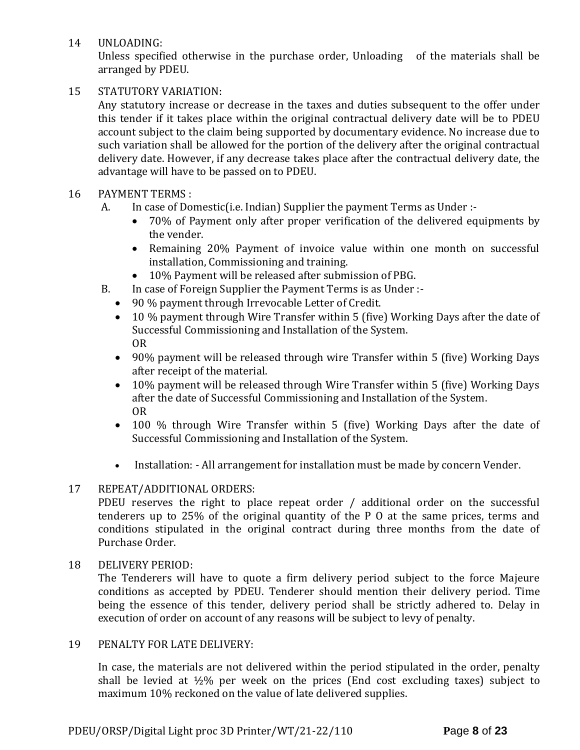14 UNLOADING:

Unless specified otherwise in the purchase order, Unloading of the materials shall be arranged by PDEU.

# 15 STATUTORY VARIATION:

Any statutory increase or decrease in the taxes and duties subsequent to the offer under this tender if it takes place within the original contractual delivery date will be to PDEU account subject to the claim being supported by documentary evidence. No increase due to such variation shall be allowed for the portion of the delivery after the original contractual delivery date. However, if any decrease takes place after the contractual delivery date, the advantage will have to be passed on to PDEU.

# 16 PAYMENT TERMS :

- A. In case of Domestic(i.e. Indian) Supplier the payment Terms as Under :-
	- 70% of Payment only after proper verification of the delivered equipments by the vender.
	- Remaining 20% Payment of invoice value within one month on successful installation, Commissioning and training.
	- 10% Payment will be released after submission of PBG.
- B. In case of Foreign Supplier the Payment Terms is as Under :-
	- 90 % payment through Irrevocable Letter of Credit.
	- 10 % payment through Wire Transfer within 5 (five) Working Days after the date of Successful Commissioning and Installation of the System. OR
	- 90% payment will be released through wire Transfer within 5 (five) Working Days after receipt of the material.
	- 10% payment will be released through Wire Transfer within 5 (five) Working Days after the date of Successful Commissioning and Installation of the System. OR
	- 100 % through Wire Transfer within 5 (five) Working Days after the date of Successful Commissioning and Installation of the System.
	- Installation: All arrangement for installation must be made by concern Vender.

# 17 REPEAT/ADDITIONAL ORDERS:

PDEU reserves the right to place repeat order / additional order on the successful tenderers up to 25% of the original quantity of the P O at the same prices, terms and conditions stipulated in the original contract during three months from the date of Purchase Order.

# 18 DELIVERY PERIOD:

The Tenderers will have to quote a firm delivery period subject to the force Majeure conditions as accepted by PDEU. Tenderer should mention their delivery period. Time being the essence of this tender, delivery period shall be strictly adhered to. Delay in execution of order on account of any reasons will be subject to levy of penalty.

# 19 PENALTY FOR LATE DELIVERY:

In case, the materials are not delivered within the period stipulated in the order, penalty shall be levied at  $\frac{1}{2}\%$  per week on the prices (End cost excluding taxes) subject to maximum 10% reckoned on the value of late delivered supplies.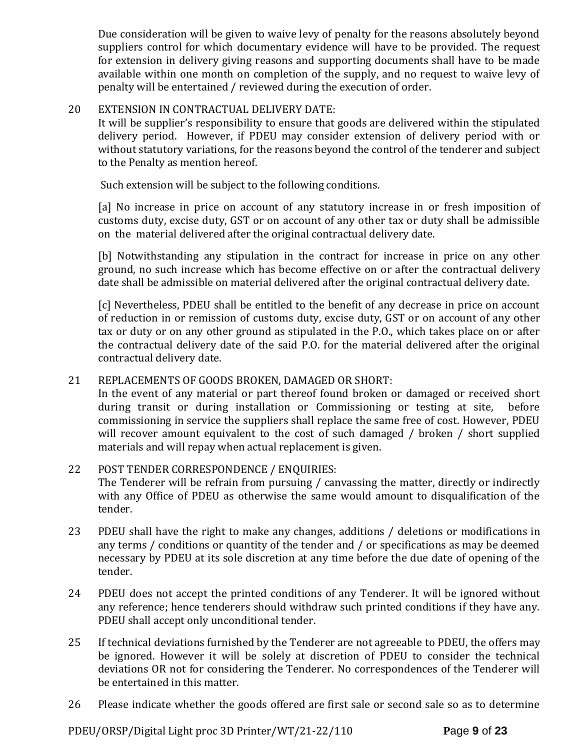Due consideration will be given to waive levy of penalty for the reasons absolutely beyond suppliers control for which documentary evidence will have to be provided. The request for extension in delivery giving reasons and supporting documents shall have to be made available within one month on completion of the supply, and no request to waive levy of penalty will be entertained / reviewed during the execution of order.

# 20 EXTENSION IN CONTRACTUAL DELIVERY DATE:

It will be supplier's responsibility to ensure that goods are delivered within the stipulated delivery period. However, if PDEU may consider extension of delivery period with or without statutory variations, for the reasons beyond the control of the tenderer and subject to the Penalty as mention hereof.

Such extension will be subject to the following conditions.

[a] No increase in price on account of any statutory increase in or fresh imposition of customs duty, excise duty, GST or on account of any other tax or duty shall be admissible on the material delivered after the original contractual delivery date.

[b] Notwithstanding any stipulation in the contract for increase in price on any other ground, no such increase which has become effective on or after the contractual delivery date shall be admissible on material delivered after the original contractual delivery date.

[c] Nevertheless, PDEU shall be entitled to the benefit of any decrease in price on account of reduction in or remission of customs duty, excise duty, GST or on account of any other tax or duty or on any other ground as stipulated in the P.O., which takes place on or after the contractual delivery date of the said P.O. for the material delivered after the original contractual delivery date.

# 21 REPLACEMENTS OF GOODS BROKEN, DAMAGED OR SHORT:

In the event of any material or part thereof found broken or damaged or received short during transit or during installation or Commissioning or testing at site, before commissioning in service the suppliers shall replace the same free of cost. However, PDEU will recover amount equivalent to the cost of such damaged / broken / short supplied materials and will repay when actual replacement is given.

# 22 POST TENDER CORRESPONDENCE / ENQUIRIES:

The Tenderer will be refrain from pursuing / canvassing the matter, directly or indirectly with any Office of PDEU as otherwise the same would amount to disqualification of the tender.

- 23 PDEU shall have the right to make any changes, additions / deletions or modifications in any terms / conditions or quantity of the tender and / or specifications as may be deemed necessary by PDEU at its sole discretion at any time before the due date of opening of the tender.
- 24 PDEU does not accept the printed conditions of any Tenderer. It will be ignored without any reference; hence tenderers should withdraw such printed conditions if they have any. PDEU shall accept only unconditional tender.
- 25 If technical deviations furnished by the Tenderer are not agreeable to PDEU, the offers may be ignored. However it will be solely at discretion of PDEU to consider the technical deviations OR not for considering the Tenderer. No correspondences of the Tenderer will be entertained in this matter.
- 26 Please indicate whether the goods offered are first sale or second sale so as to determine

PDEU/ORSP/Digital Light proc 3D Printer/WT/21-22/110 **P**age **9** of **23**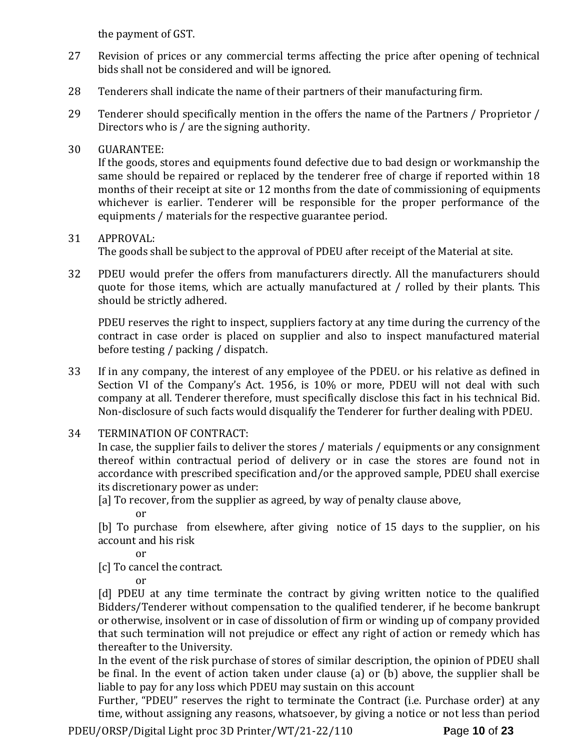the payment of GST.

- 27 Revision of prices or any commercial terms affecting the price after opening of technical bids shall not be considered and will be ignored.
- 28 Tenderers shall indicate the name of their partners of their manufacturing firm.
- 29 Tenderer should specifically mention in the offers the name of the Partners / Proprietor / Directors who is / are the signing authority.

# 30 GUARANTEE:

If the goods, stores and equipments found defective due to bad design or workmanship the same should be repaired or replaced by the tenderer free of charge if reported within 18 months of their receipt at site or 12 months from the date of commissioning of equipments whichever is earlier. Tenderer will be responsible for the proper performance of the equipments / materials for the respective guarantee period.

# 31 APPROVAL:

The goods shall be subject to the approval of PDEU after receipt of the Material at site.

32 PDEU would prefer the offers from manufacturers directly. All the manufacturers should quote for those items, which are actually manufactured at / rolled by their plants. This should be strictly adhered.

PDEU reserves the right to inspect, suppliers factory at any time during the currency of the contract in case order is placed on supplier and also to inspect manufactured material before testing / packing / dispatch.

- 33 If in any company, the interest of any employee of the PDEU. or his relative as defined in Section VI of the Company's Act. 1956, is 10% or more, PDEU will not deal with such company at all. Tenderer therefore, must specifically disclose this fact in his technical Bid. Non-disclosure of such facts would disqualify the Tenderer for further dealing with PDEU.
- 34 TERMINATION OF CONTRACT:

In case, the supplier fails to deliver the stores / materials / equipments or any consignment thereof within contractual period of delivery or in case the stores are found not in accordance with prescribed specification and/or the approved sample, PDEU shall exercise its discretionary power as under:

[a] To recover, from the supplier as agreed, by way of penalty clause above,

or

[b] To purchase from elsewhere, after giving notice of 15 days to the supplier, on his account and his risk

or

[c] To cancel the contract.

or

[d] PDEU at any time terminate the contract by giving written notice to the qualified Bidders/Tenderer without compensation to the qualified tenderer, if he become bankrupt or otherwise, insolvent or in case of dissolution of firm or winding up of company provided that such termination will not prejudice or effect any right of action or remedy which has thereafter to the University.

In the event of the risk purchase of stores of similar description, the opinion of PDEU shall be final. In the event of action taken under clause (a) or (b) above, the supplier shall be liable to pay for any loss which PDEU may sustain on this account

Further, "PDEU" reserves the right to terminate the Contract (i.e. Purchase order) at any time, without assigning any reasons, whatsoever, by giving a notice or not less than period

PDEU/ORSP/Digital Light proc 3D Printer/WT/21-22/110 **P**age **10** of **23**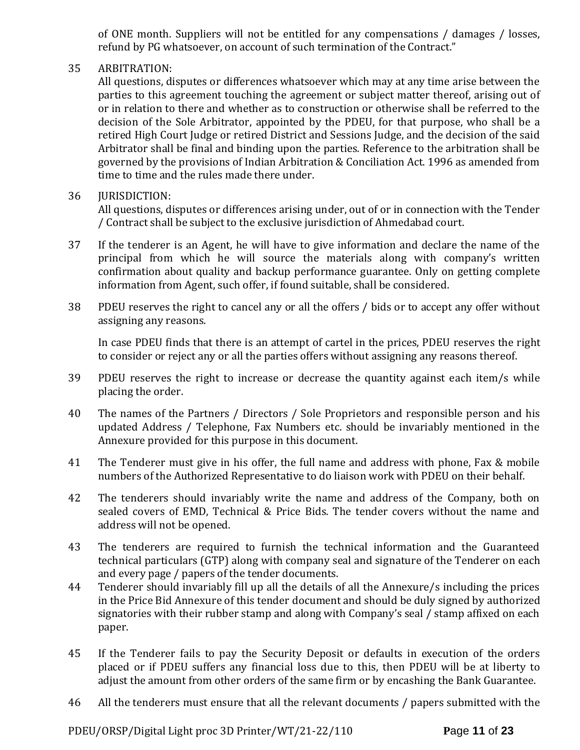of ONE month. Suppliers will not be entitled for any compensations / damages / losses, refund by PG whatsoever, on account of such termination of the Contract."

# 35 ARBITRATION:

All questions, disputes or differences whatsoever which may at any time arise between the parties to this agreement touching the agreement or subject matter thereof, arising out of or in relation to there and whether as to construction or otherwise shall be referred to the decision of the Sole Arbitrator, appointed by the PDEU, for that purpose, who shall be a retired High Court Judge or retired District and Sessions Judge, and the decision of the said Arbitrator shall be final and binding upon the parties. Reference to the arbitration shall be governed by the provisions of Indian Arbitration & Conciliation Act. 1996 as amended from time to time and the rules made there under.

# 36 JURISDICTION:

All questions, disputes or differences arising under, out of or in connection with the Tender / Contract shall be subject to the exclusive jurisdiction of Ahmedabad court.

- 37 If the tenderer is an Agent, he will have to give information and declare the name of the principal from which he will source the materials along with company's written confirmation about quality and backup performance guarantee. Only on getting complete information from Agent, such offer, if found suitable, shall be considered.
- 38 PDEU reserves the right to cancel any or all the offers / bids or to accept any offer without assigning any reasons.

In case PDEU finds that there is an attempt of cartel in the prices, PDEU reserves the right to consider or reject any or all the parties offers without assigning any reasons thereof.

- 39 PDEU reserves the right to increase or decrease the quantity against each item/s while placing the order.
- 40 The names of the Partners / Directors / Sole Proprietors and responsible person and his updated Address / Telephone, Fax Numbers etc. should be invariably mentioned in the Annexure provided for this purpose in this document.
- 41 The Tenderer must give in his offer, the full name and address with phone, Fax & mobile numbers of the Authorized Representative to do liaison work with PDEU on their behalf.
- 42 The tenderers should invariably write the name and address of the Company, both on sealed covers of EMD, Technical & Price Bids. The tender covers without the name and address will not be opened.
- 43 The tenderers are required to furnish the technical information and the Guaranteed technical particulars (GTP) along with company seal and signature of the Tenderer on each and every page / papers of the tender documents.
- 44 Tenderer should invariably fill up all the details of all the Annexure/s including the prices in the Price Bid Annexure of this tender document and should be duly signed by authorized signatories with their rubber stamp and along with Company's seal / stamp affixed on each paper.
- 45 If the Tenderer fails to pay the Security Deposit or defaults in execution of the orders placed or if PDEU suffers any financial loss due to this, then PDEU will be at liberty to adjust the amount from other orders of the same firm or by encashing the Bank Guarantee.
- 46 All the tenderers must ensure that all the relevant documents / papers submitted with the

PDEU/ORSP/Digital Light proc 3D Printer/WT/21-22/110 **P**age **11** of **23**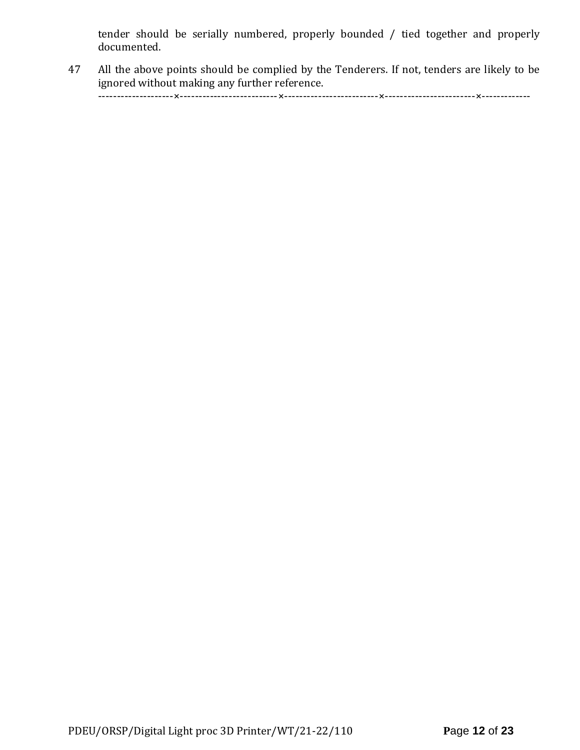tender should be serially numbered, properly bounded / tied together and properly documented.

47 All the above points should be complied by the Tenderers. If not, tenders are likely to be ignored without making any further reference.

--------------------×--------------------------×-------------------------×------------------------×-------------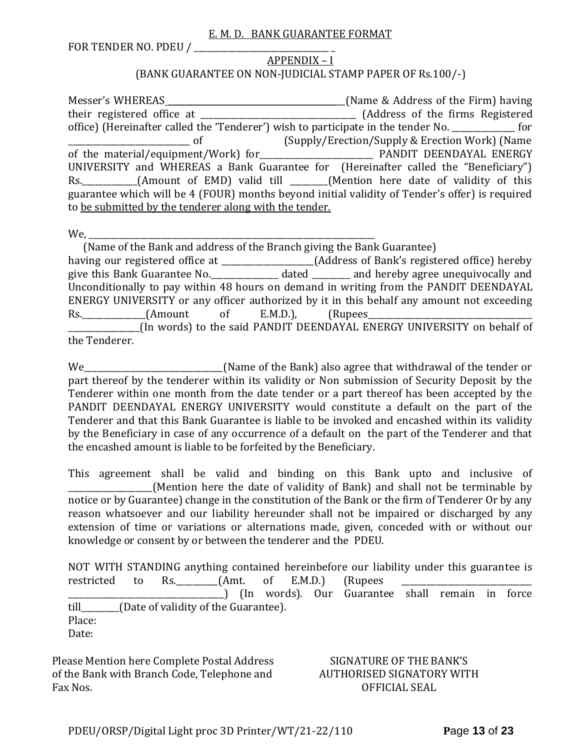#### E. M. D. BANK GUARANTEE FORMAT

FOR TENDER NO. PDEU / \_\_\_\_\_\_\_\_\_\_\_\_\_\_\_\_\_\_\_\_\_\_\_\_\_\_\_\_\_\_\_\_ \_

# APPENDIX – I (BANK GUARANTEE ON NON-JUDICIAL STAMP PAPER OF Rs.100/-)

Messer's WHEREAS \_\_\_\_\_\_\_\_\_\_\_\_\_\_\_\_\_\_\_\_\_\_\_\_\_\_\_\_\_\_\_\_\_\_\_\_\_\_\_\_\_\_(Name & Address of the Firm) having their registered office at \_\_\_\_\_\_\_\_\_\_\_\_\_\_\_\_\_\_\_\_\_\_\_\_\_\_\_\_\_\_\_\_\_\_\_\_\_ (Address of the firms Registered office) (Hereinafter called the 'Tenderer') wish to participate in the tender No. \_\_\_\_\_\_\_\_\_\_\_\_\_\_\_ for \_\_\_\_\_\_\_\_\_\_\_\_\_\_\_\_\_\_\_\_\_\_\_\_\_\_\_\_\_ of (Supply/Erection/Supply & Erection Work) (Name of the material/equipment/Work) for\_\_\_\_\_\_\_\_\_\_\_\_\_\_\_\_\_\_\_\_\_\_\_\_\_\_\_ PANDIT DEENDAYAL ENERGY UNIVERSITY and WHEREAS a Bank Guarantee for (Hereinafter called the "Beneficiary") Rs. \_\_\_\_\_\_\_\_\_\_(Amount of EMD) valid till \_\_\_\_\_\_(Mention here date of validity of this guarantee which will be 4 (FOUR) months beyond initial validity of Tender's offer) is required to be submitted by the tenderer along with the tender.

We,

 (Name of the Bank and address of the Branch giving the Bank Guarantee) having our registered office at \_\_\_\_\_\_\_\_\_\_\_\_\_\_\_\_\_\_\_\_\_\_(Address of Bank's registered office) hereby give this Bank Guarantee No.\_\_\_\_\_\_\_\_\_\_\_\_\_\_\_\_ dated \_\_\_\_\_\_\_\_\_ and hereby agree unequivocally and Unconditionally to pay within 48 hours on demand in writing from the PANDIT DEENDAYAL ENERGY UNIVERSITY or any officer authorized by it in this behalf any amount not exceeding Rs. (Amount of E.M.D.), (Rupees \_\_\_\_\_\_\_\_\_\_\_\_\_\_\_\_\_(In words) to the said PANDIT DEENDAYAL ENERGY UNIVERSITY on behalf of the Tenderer.

We\_\_\_\_\_\_\_\_\_\_\_\_\_\_\_\_\_\_\_\_\_\_\_\_\_\_\_\_\_\_\_\_\_(Name of the Bank) also agree that withdrawal of the tender or part thereof by the tenderer within its validity or Non submission of Security Deposit by the Tenderer within one month from the date tender or a part thereof has been accepted by the PANDIT DEENDAYAL ENERGY UNIVERSITY would constitute a default on the part of the Tenderer and that this Bank Guarantee is liable to be invoked and encashed within its validity by the Beneficiary in case of any occurrence of a default on the part of the Tenderer and that the encashed amount is liable to be forfeited by the Beneficiary.

This agreement shall be valid and binding on this Bank upto and inclusive of (Mention here the date of validity of Bank) and shall not be terminable by notice or by Guarantee) change in the constitution of the Bank or the firm of Tenderer Or by any reason whatsoever and our liability hereunder shall not be impaired or discharged by any extension of time or variations or alternations made, given, conceded with or without our knowledge or consent by or between the tenderer and the PDEU.

NOT WITH STANDING anything contained hereinbefore our liability under this guarantee is restricted to Rs.  $(Amt. of E.M.D.)$  (Rupees \_\_\_\_\_\_\_\_\_\_\_\_\_\_\_\_\_\_\_\_\_\_\_\_\_\_\_\_\_\_\_\_\_\_\_\_\_) (In words). Our Guarantee shall remain in force till\_\_\_\_\_\_\_\_\_(Date of validity of the Guarantee). Place: Date:

Please Mention here Complete Postal Address of the Bank with Branch Code, Telephone and Fax Nos.

#### SIGNATURE OF THE BANK'S AUTHORISED SIGNATORY WITH OFFICIAL SEAL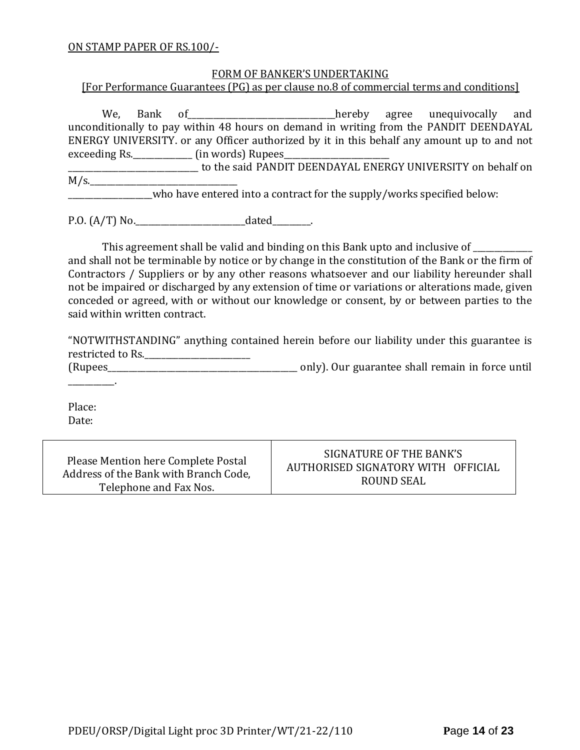#### ON STAMP PAPER OF RS.100/-

#### FORM OF BANKER'S UNDERTAKING

[For Performance Guarantees (PG) as per clause no.8 of commercial terms and conditions]

We, Bank of\_\_\_\_\_\_\_\_\_\_\_\_\_\_\_\_\_\_\_\_\_\_\_\_hereby agree unequivocally and unconditionally to pay within 48 hours on demand in writing from the PANDIT DEENDAYAL ENERGY UNIVERSITY. or any Officer authorized by it in this behalf any amount up to and not exceeding Rs.\_\_\_\_\_\_\_\_\_\_\_\_\_\_\_\_\_\_\_ (in words) Rupees\_

\_\_\_\_\_\_\_\_\_\_\_\_\_\_\_\_\_\_\_\_\_\_\_\_\_\_\_\_\_\_\_ to the said PANDIT DEENDAYAL ENERGY UNIVERSITY on behalf on  $M/s$ .

who have entered into a contract for the supply/works specified below:

P.O. (A/T) No.\_\_\_\_\_\_\_\_\_\_\_\_\_\_\_\_\_\_\_\_\_\_\_\_\_\_dated\_\_\_\_\_\_\_\_\_.

This agreement shall be valid and binding on this Bank upto and inclusive of \_\_\_\_\_\_\_\_\_\_

and shall not be terminable by notice or by change in the constitution of the Bank or the firm of Contractors / Suppliers or by any other reasons whatsoever and our liability hereunder shall not be impaired or discharged by any extension of time or variations or alterations made, given conceded or agreed, with or without our knowledge or consent, by or between parties to the said within written contract.

"NOTWITHSTANDING" anything contained herein before our liability under this guarantee is restricted to Rs.\_\_\_\_\_\_\_\_\_\_\_\_\_\_\_\_\_\_\_\_\_\_\_\_\_

(Rupees\_\_\_\_\_\_\_\_\_\_\_\_\_\_\_\_\_\_\_\_\_\_\_\_\_\_\_\_\_\_\_\_\_\_\_\_\_\_\_\_\_\_\_\_\_ only). Our guarantee shall remain in force until

Place: Date:

\_\_\_\_\_\_\_\_\_\_\_.

Please Mention here Complete Postal Address of the Bank with Branch Code, Telephone and Fax Nos.

SIGNATURE OF THE BANK'S AUTHORISED SIGNATORY WITH OFFICIAL ROUND SEAL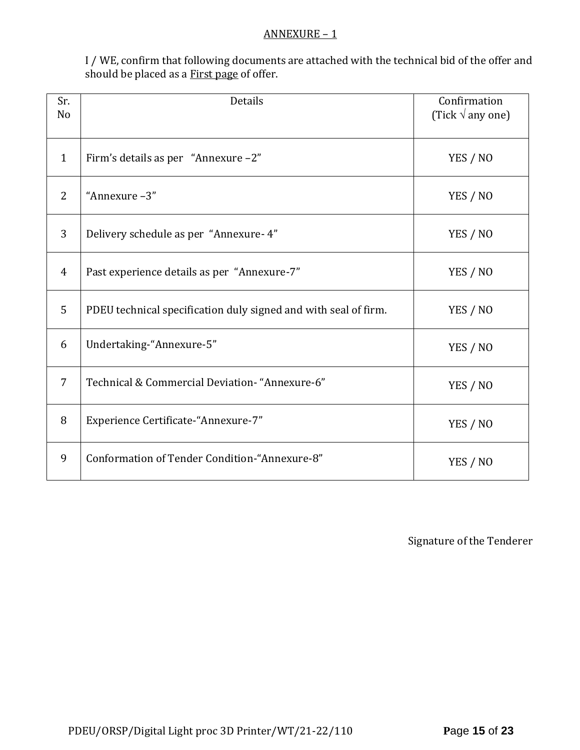#### ANNEXURE – 1

I / WE, confirm that following documents are attached with the technical bid of the offer and should be placed as a **First page** of offer.

| Sr.<br>N <sub>o</sub> | Details                                                         | Confirmation<br>(Tick $\sqrt{ }$ any one) |
|-----------------------|-----------------------------------------------------------------|-------------------------------------------|
| $\mathbf{1}$          | Firm's details as per "Annexure -2"                             | YES / NO                                  |
| 2                     | "Annexure-3"                                                    | YES / NO                                  |
| 3                     | Delivery schedule as per "Annexure-4"                           | YES / NO                                  |
| $\overline{4}$        | Past experience details as per "Annexure-7"                     | YES / NO                                  |
| 5                     | PDEU technical specification duly signed and with seal of firm. | YES / NO                                  |
| 6                     | Undertaking-"Annexure-5"                                        | YES / NO                                  |
| $\overline{7}$        | Technical & Commercial Deviation- "Annexure-6"                  | YES / NO                                  |
| 8                     | Experience Certificate-"Annexure-7"                             | YES / NO                                  |
| 9                     | Conformation of Tender Condition-"Annexure-8"                   | YES / NO                                  |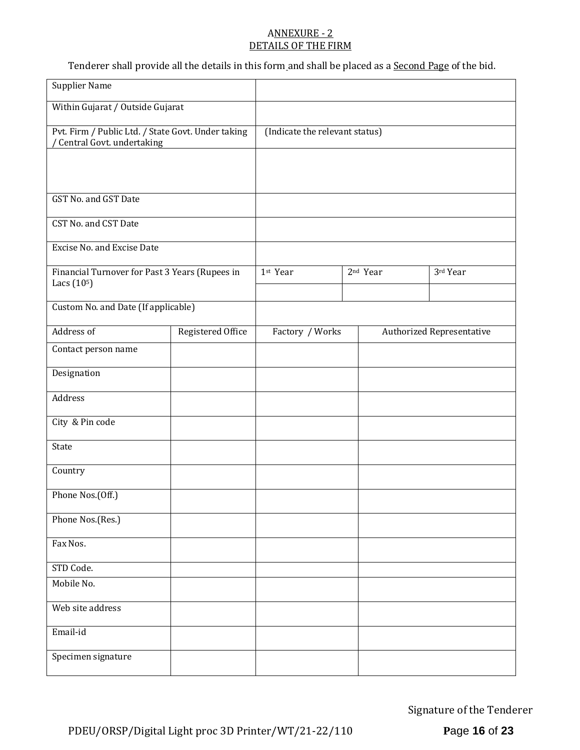#### ANNEXURE - 2 DETAILS OF THE FIRM

Tenderer shall provide all the details in this form and shall be placed as a Second Page of the bid.

| <b>Supplier Name</b>                                                            |                   |                                |  |                      |                                  |
|---------------------------------------------------------------------------------|-------------------|--------------------------------|--|----------------------|----------------------------------|
| Within Gujarat / Outside Gujarat                                                |                   |                                |  |                      |                                  |
| Pvt. Firm / Public Ltd. / State Govt. Under taking<br>Central Govt. undertaking |                   | (Indicate the relevant status) |  |                      |                                  |
|                                                                                 |                   |                                |  |                      |                                  |
| GST No. and GST Date                                                            |                   |                                |  |                      |                                  |
|                                                                                 |                   |                                |  |                      |                                  |
| CST No. and CST Date                                                            |                   |                                |  |                      |                                  |
| Excise No. and Excise Date                                                      |                   |                                |  |                      |                                  |
| Financial Turnover for Past 3 Years (Rupees in<br>Lacs (10 <sup>5</sup> )       |                   | 1st Year                       |  | 2 <sup>nd</sup> Year | 3rd Year                         |
|                                                                                 |                   |                                |  |                      |                                  |
| Custom No. and Date (If applicable)                                             |                   |                                |  |                      |                                  |
| Address of                                                                      | Registered Office | Factory / Works                |  |                      | <b>Authorized Representative</b> |
| Contact person name                                                             |                   |                                |  |                      |                                  |
| Designation                                                                     |                   |                                |  |                      |                                  |
| Address                                                                         |                   |                                |  |                      |                                  |
| City & Pin code                                                                 |                   |                                |  |                      |                                  |
| State                                                                           |                   |                                |  |                      |                                  |
| Country                                                                         |                   |                                |  |                      |                                  |
| Phone Nos.(Off.)                                                                |                   |                                |  |                      |                                  |
| Phone Nos.(Res.)                                                                |                   |                                |  |                      |                                  |
| Fax Nos.                                                                        |                   |                                |  |                      |                                  |
| STD Code.                                                                       |                   |                                |  |                      |                                  |
| Mobile No.                                                                      |                   |                                |  |                      |                                  |
| Web site address                                                                |                   |                                |  |                      |                                  |
| Email-id                                                                        |                   |                                |  |                      |                                  |
| Specimen signature                                                              |                   |                                |  |                      |                                  |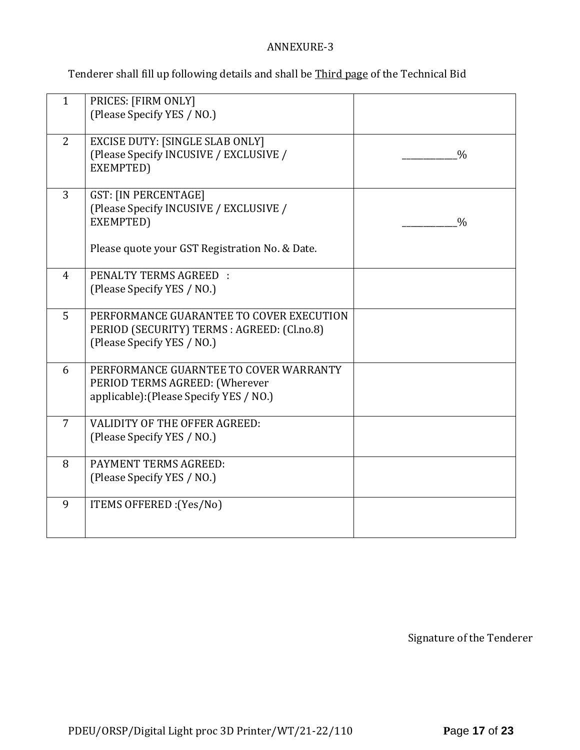# ANNEXURE-3

Tenderer shall fill up following details and shall be Third page of the Technical Bid

| $\mathbf{1}$   | PRICES: [FIRM ONLY]<br>(Please Specify YES / NO.)                                                                                    |               |
|----------------|--------------------------------------------------------------------------------------------------------------------------------------|---------------|
| 2              | <b>EXCISE DUTY: [SINGLE SLAB ONLY]</b><br>(Please Specify INCUSIVE / EXCLUSIVE /<br>EXEMPTED)                                        | $\frac{0}{0}$ |
| $\overline{3}$ | <b>GST: [IN PERCENTAGE]</b><br>(Please Specify INCUSIVE / EXCLUSIVE /<br>EXEMPTED)<br>Please quote your GST Registration No. & Date. | $\frac{0}{0}$ |
| $\overline{4}$ | <b>PENALTY TERMS AGREED:</b><br>(Please Specify YES / NO.)                                                                           |               |
| 5              | PERFORMANCE GUARANTEE TO COVER EXECUTION<br>PERIOD (SECURITY) TERMS : AGREED: (Cl.no.8)<br>(Please Specify YES / NO.)                |               |
| 6              | PERFORMANCE GUARNTEE TO COVER WARRANTY<br>PERIOD TERMS AGREED: (Wherever<br>applicable): (Please Specify YES / NO.)                  |               |
| $\overline{7}$ | <b>VALIDITY OF THE OFFER AGREED:</b><br>(Please Specify YES / NO.)                                                                   |               |
| 8              | PAYMENT TERMS AGREED:<br>(Please Specify YES / NO.)                                                                                  |               |
| 9              | ITEMS OFFERED : (Yes/No)                                                                                                             |               |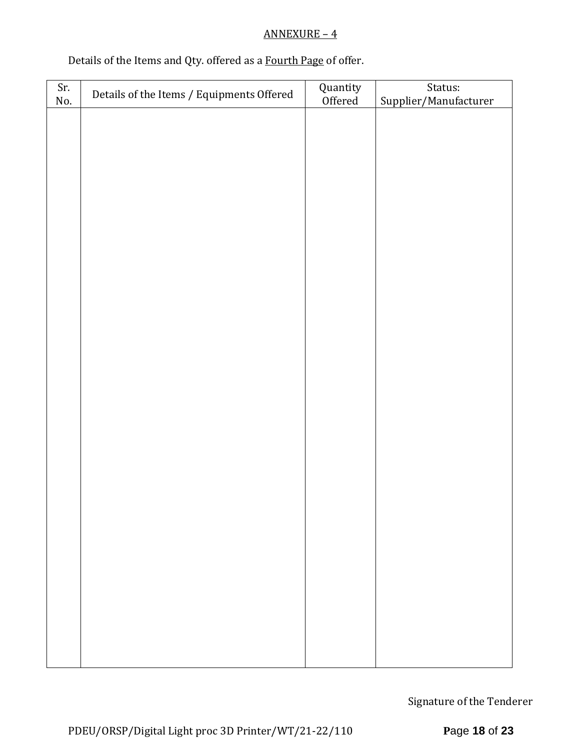# ANNEXURE – 4

# Details of the Items and Qty. offered as a Fourth Page of offer.

| Sr. | Details of the Items / Equipments Offered | Quantity<br>Offered | Status:               |
|-----|-------------------------------------------|---------------------|-----------------------|
| No. |                                           |                     | Supplier/Manufacturer |
|     |                                           |                     |                       |
|     |                                           |                     |                       |
|     |                                           |                     |                       |
|     |                                           |                     |                       |
|     |                                           |                     |                       |
|     |                                           |                     |                       |
|     |                                           |                     |                       |
|     |                                           |                     |                       |
|     |                                           |                     |                       |
|     |                                           |                     |                       |
|     |                                           |                     |                       |
|     |                                           |                     |                       |
|     |                                           |                     |                       |
|     |                                           |                     |                       |
|     |                                           |                     |                       |
|     |                                           |                     |                       |
|     |                                           |                     |                       |
|     |                                           |                     |                       |
|     |                                           |                     |                       |
|     |                                           |                     |                       |
|     |                                           |                     |                       |
|     |                                           |                     |                       |
|     |                                           |                     |                       |
|     |                                           |                     |                       |
|     |                                           |                     |                       |
|     |                                           |                     |                       |
|     |                                           |                     |                       |
|     |                                           |                     |                       |
|     |                                           |                     |                       |
|     |                                           |                     |                       |
|     |                                           |                     |                       |
|     |                                           |                     |                       |
|     |                                           |                     |                       |
|     |                                           |                     |                       |
|     |                                           |                     |                       |
|     |                                           |                     |                       |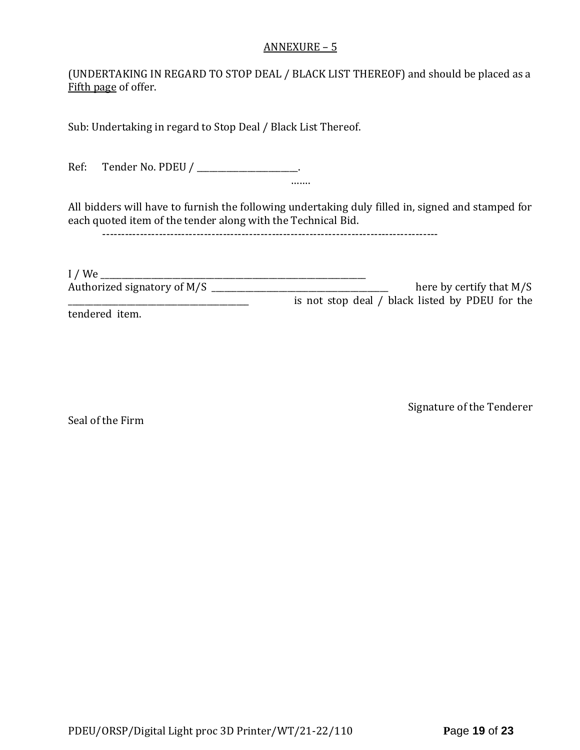#### ANNEXURE – 5

(UNDERTAKING IN REGARD TO STOP DEAL / BLACK LIST THEREOF) and should be placed as a Fifth page of offer.

Sub: Undertaking in regard to Stop Deal / Black List Thereof.

Ref: Tender No. PDEU / \_\_\_\_\_\_\_\_\_\_\_\_\_\_\_\_\_\_\_\_.

All bidders will have to furnish the following undertaking duly filled in, signed and stamped for each quoted item of the tender along with the Technical Bid.

…….

-----------------------------------------------------------------------------------------

I / We \_\_\_\_\_\_\_\_\_\_\_\_\_\_\_\_\_\_\_\_\_\_\_\_\_\_\_\_\_\_\_\_\_\_\_\_\_\_\_\_\_\_\_\_\_\_\_\_\_\_\_\_\_\_\_\_\_\_\_\_\_\_\_ Authorized signatory of M/S \_\_\_\_\_\_\_\_\_\_\_\_\_\_\_\_\_\_\_\_\_\_\_\_\_\_\_\_\_\_\_\_\_\_\_\_\_\_\_\_\_\_ here by certify that M/S \_\_\_\_\_\_\_\_\_\_\_\_\_\_\_\_\_\_\_\_\_\_\_\_\_\_\_\_\_\_\_\_\_\_\_\_\_\_\_\_\_\_\_ is not stop deal / black listed by PDEU for the tendered item.

Seal of the Firm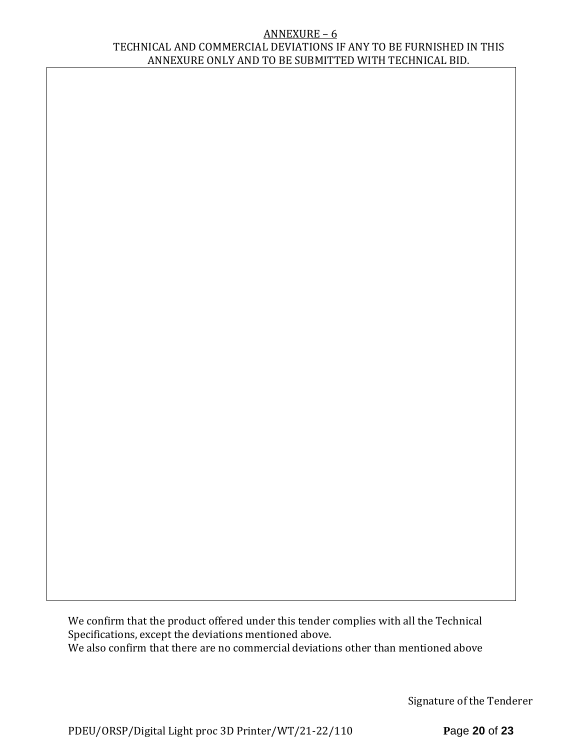#### ANNEXURE – 6 TECHNICAL AND COMMERCIAL DEVIATIONS IF ANY TO BE FURNISHED IN THIS ANNEXURE ONLY AND TO BE SUBMITTED WITH TECHNICAL BID.

We confirm that the product offered under this tender complies with all the Technical Specifications, except the deviations mentioned above. We also confirm that there are no commercial deviations other than mentioned above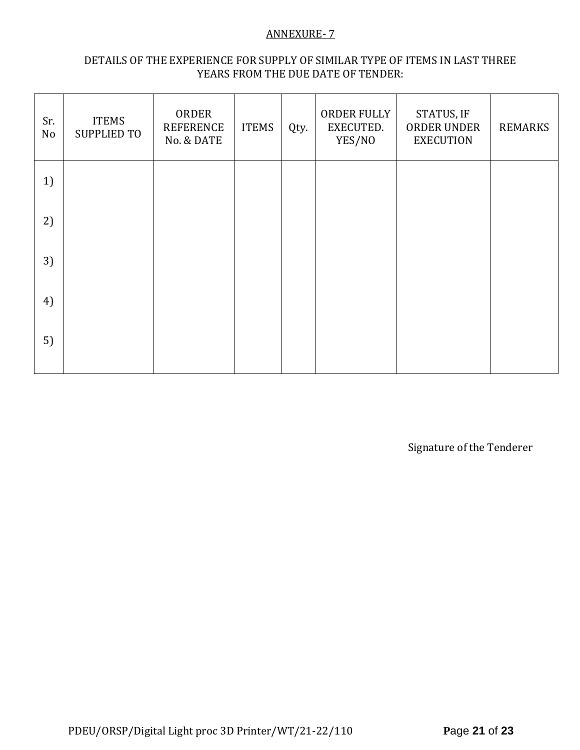#### ANNEXURE- 7

# DETAILS OF THE EXPERIENCE FOR SUPPLY OF SIMILAR TYPE OF ITEMS IN LAST THREE YEARS FROM THE DUE DATE OF TENDER:

| Sr.<br>No | <b>ITEMS</b><br><b>SUPPLIED TO</b> | ORDER<br><b>REFERENCE</b><br>No. & DATE | <b>ITEMS</b> | Qty. | ORDER FULLY<br>EXECUTED.<br>YES/NO | STATUS, IF<br>ORDER UNDER<br><b>EXECUTION</b> | <b>REMARKS</b> |
|-----------|------------------------------------|-----------------------------------------|--------------|------|------------------------------------|-----------------------------------------------|----------------|
| 1)        |                                    |                                         |              |      |                                    |                                               |                |
| 2)        |                                    |                                         |              |      |                                    |                                               |                |
| 3)        |                                    |                                         |              |      |                                    |                                               |                |
| 4)        |                                    |                                         |              |      |                                    |                                               |                |
| 5)        |                                    |                                         |              |      |                                    |                                               |                |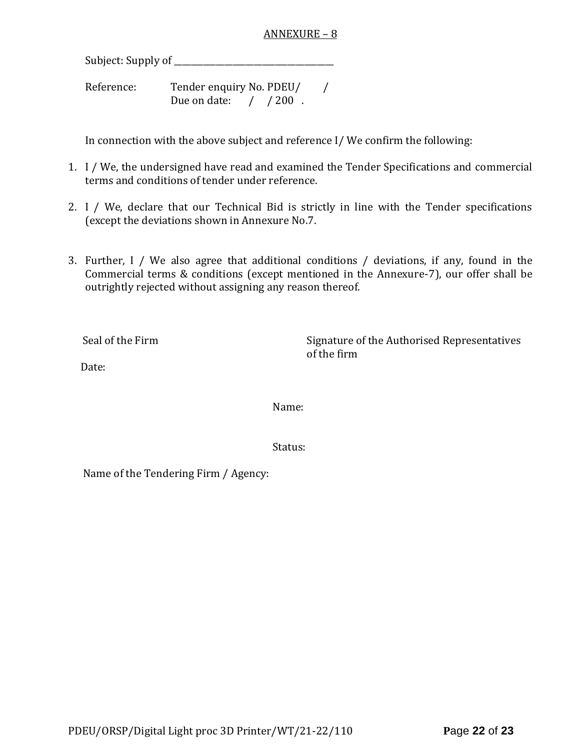#### ANNEXURE – 8

Subject: Supply of \_\_\_\_\_\_\_\_\_\_\_\_\_\_\_\_\_\_\_\_\_\_\_\_\_\_\_\_\_\_\_\_\_\_\_\_\_\_

Reference: Tender enquiry No. PDEU/ / Due on date: / / 200 .

In connection with the above subject and reference I/ We confirm the following:

- 1. I / We, the undersigned have read and examined the Tender Specifications and commercial terms and conditions of tender under reference.
- 2. I / We, declare that our Technical Bid is strictly in line with the Tender specifications (except the deviations shown in Annexure No.7.
- 3. Further, I / We also agree that additional conditions / deviations, if any, found in the Commercial terms & conditions (except mentioned in the Annexure-7), our offer shall be outrightly rejected without assigning any reason thereof.

Seal of the Firm Signature of the Authorised Representatives of the firm

Date:

Name:

Status:

Name of the Tendering Firm / Agency: